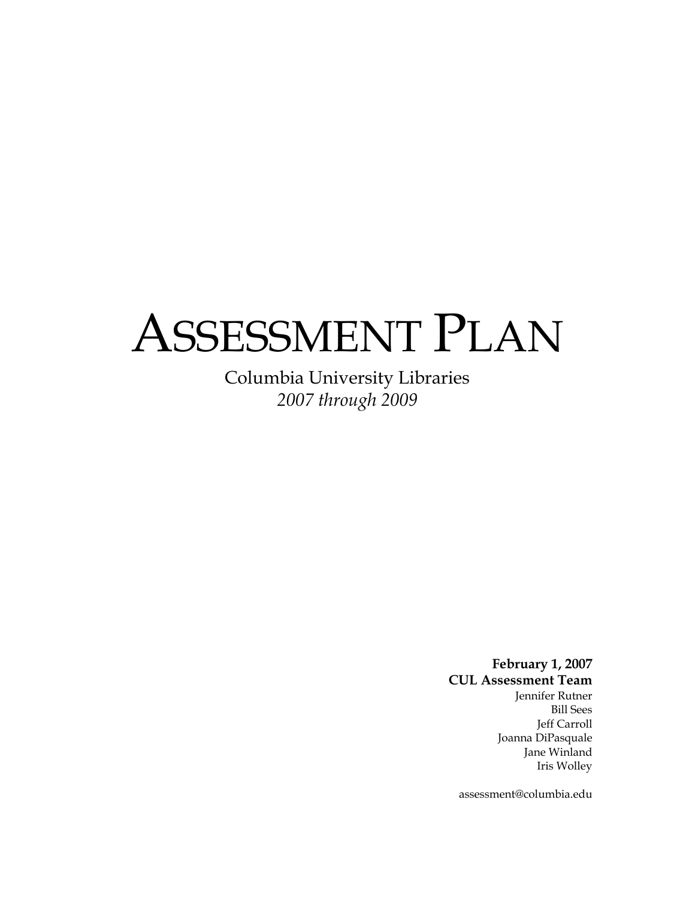# ASSESSMENT PLAN

Columbia University Libraries *2007 through 2009* 

> **February 1, 2007 CUL Assessment Team**  Jennifer Rutner Bill Sees Jeff Carroll Joanna DiPasquale Jane Winland Iris Wolley

assessment@columbia.edu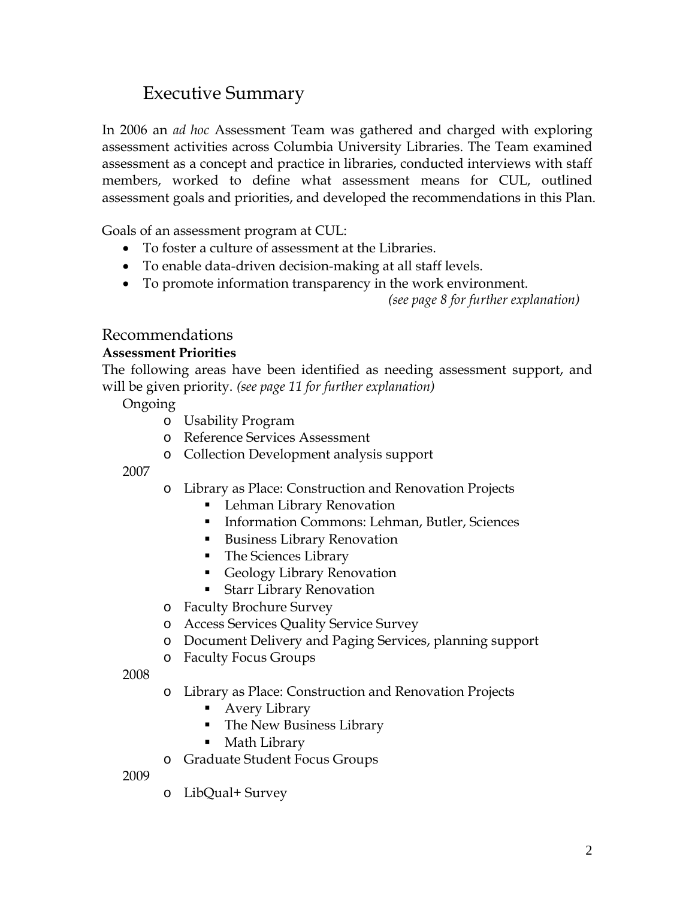# Executive Summary

In 2006 an *ad hoc* Assessment Team was gathered and charged with exploring assessment activities across Columbia University Libraries. The Team examined assessment as a concept and practice in libraries, conducted interviews with staff members, worked to define what assessment means for CUL, outlined assessment goals and priorities, and developed the recommendations in this Plan.

Goals of an assessment program at CUL:

- To foster a culture of assessment at the Libraries.
- To enable data-driven decision-making at all staff levels.
- To promote information transparency in the work environment.

*(see page 8 for further explanation)* 

## Recommendations

#### **Assessment Priorities**

The following areas have been identified as needing assessment support, and will be given priority. *(see page 11 for further explanation)* 

Ongoing

- o Usability Program
- o Reference Services Assessment
- o Collection Development analysis support

2007

- o Library as Place: Construction and Renovation Projects
	- **Lehman Library Renovation**
	- Information Commons: Lehman, Butler, Sciences
	- Business Library Renovation
	- The Sciences Library
	- **Geology Library Renovation**
	- **Starr Library Renovation**
- o Faculty Brochure Survey
- o Access Services Quality Service Survey
- o Document Delivery and Paging Services, planning support
- o Faculty Focus Groups

2008

- o Library as Place: Construction and Renovation Projects
	- Avery Library
	- **The New Business Library**
	- Math Library
- o Graduate Student Focus Groups

2009

o LibQual+ Survey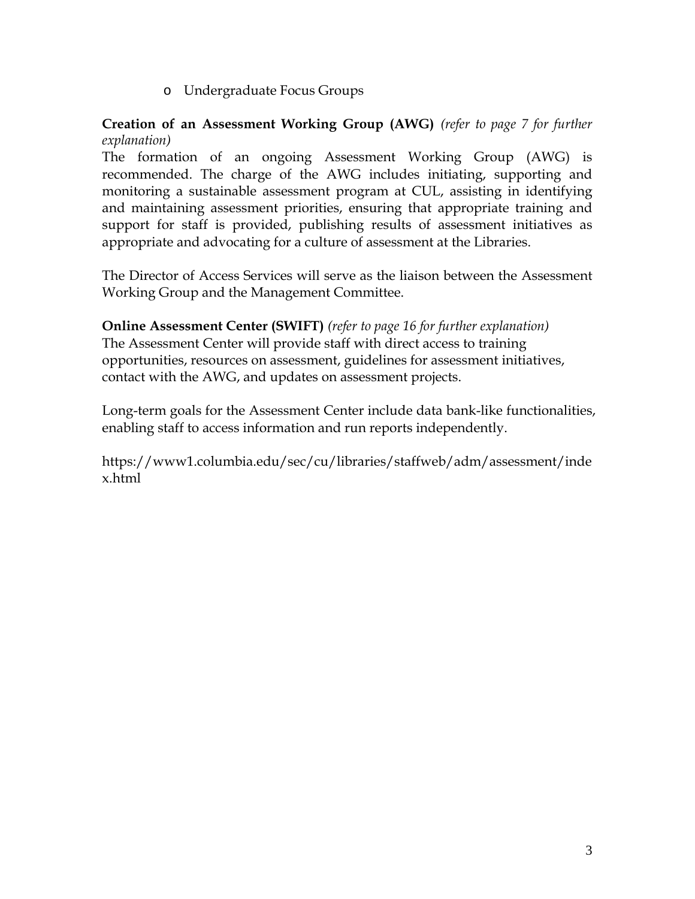o Undergraduate Focus Groups

#### **Creation of an Assessment Working Group (AWG)** *(refer to page 7 for further explanation)*

The formation of an ongoing Assessment Working Group (AWG) is recommended. The charge of the AWG includes initiating, supporting and monitoring a sustainable assessment program at CUL, assisting in identifying and maintaining assessment priorities, ensuring that appropriate training and support for staff is provided, publishing results of assessment initiatives as appropriate and advocating for a culture of assessment at the Libraries.

The Director of Access Services will serve as the liaison between the Assessment Working Group and the Management Committee.

#### **Online Assessment Center (SWIFT)** *(refer to page 16 for further explanation)*

The Assessment Center will provide staff with direct access to training opportunities, resources on assessment, guidelines for assessment initiatives, contact with the AWG, and updates on assessment projects.

Long-term goals for the Assessment Center include data bank-like functionalities, enabling staff to access information and run reports independently.

https://www1.columbia.edu/sec/cu/libraries/staffweb/adm/assessment/inde x.html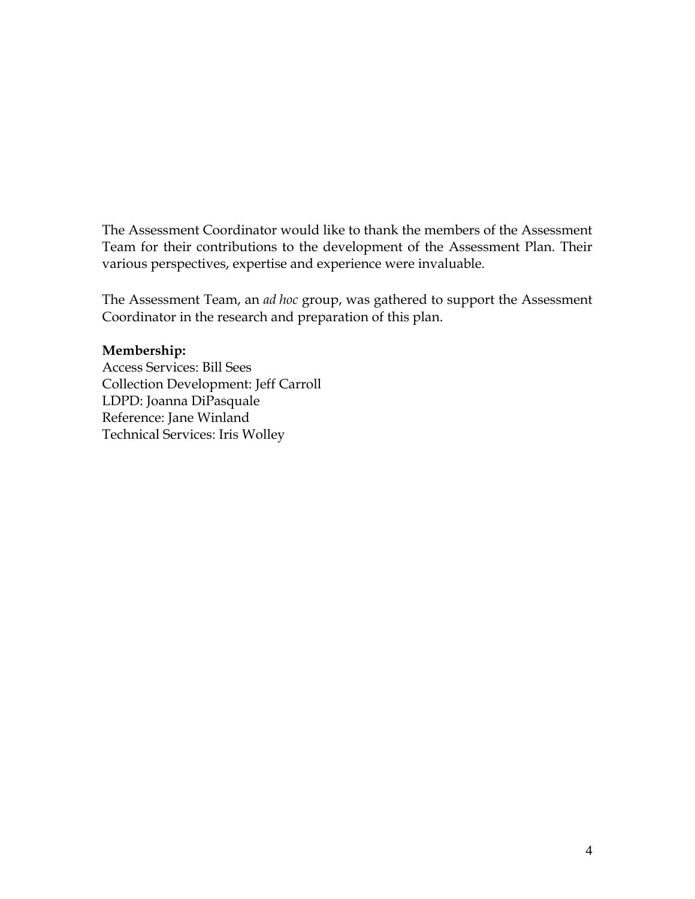The Assessment Coordinator would like to thank the members of the Assessment Team for their contributions to the development of the Assessment Plan. Their various perspectives, expertise and experience were invaluable.

The Assessment Team, an *ad hoc* group, was gathered to support the Assessment Coordinator in the research and preparation of this plan.

#### **Membership:**

Access Services: Bill Sees Collection Development: Jeff Carroll LDPD: Joanna DiPasquale Reference: Jane Winland Technical Services: Iris Wolley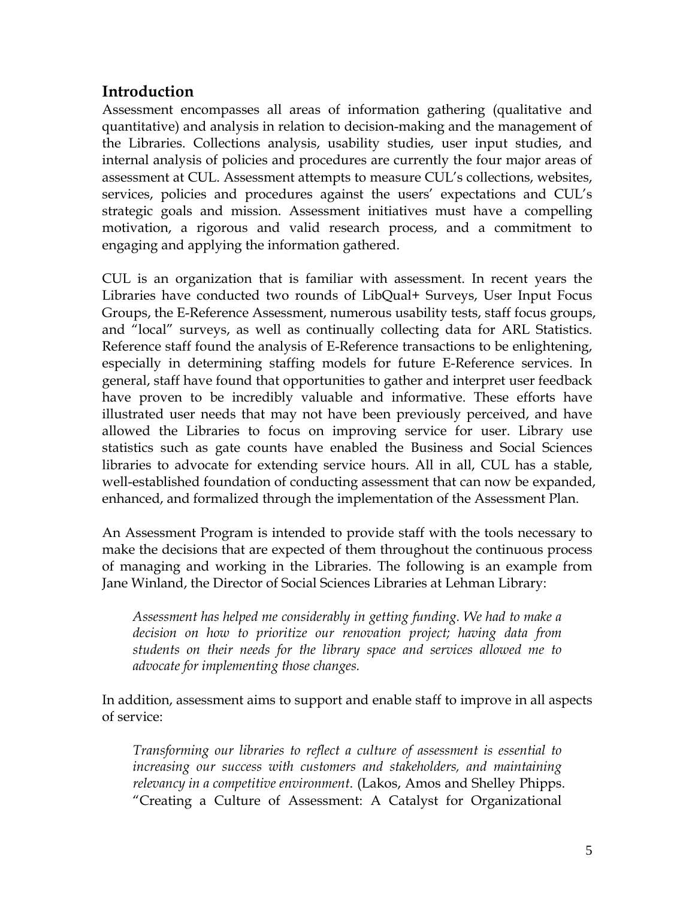## **Introduction**

Assessment encompasses all areas of information gathering (qualitative and quantitative) and analysis in relation to decision-making and the management of the Libraries. Collections analysis, usability studies, user input studies, and internal analysis of policies and procedures are currently the four major areas of assessment at CUL. Assessment attempts to measure CUL's collections, websites, services, policies and procedures against the users' expectations and CUL's strategic goals and mission. Assessment initiatives must have a compelling motivation, a rigorous and valid research process, and a commitment to engaging and applying the information gathered.

CUL is an organization that is familiar with assessment. In recent years the Libraries have conducted two rounds of LibQual+ Surveys, User Input Focus Groups, the E-Reference Assessment, numerous usability tests, staff focus groups, and "local" surveys, as well as continually collecting data for ARL Statistics. Reference staff found the analysis of E-Reference transactions to be enlightening, especially in determining staffing models for future E-Reference services. In general, staff have found that opportunities to gather and interpret user feedback have proven to be incredibly valuable and informative. These efforts have illustrated user needs that may not have been previously perceived, and have allowed the Libraries to focus on improving service for user. Library use statistics such as gate counts have enabled the Business and Social Sciences libraries to advocate for extending service hours. All in all, CUL has a stable, well-established foundation of conducting assessment that can now be expanded, enhanced, and formalized through the implementation of the Assessment Plan.

An Assessment Program is intended to provide staff with the tools necessary to make the decisions that are expected of them throughout the continuous process of managing and working in the Libraries. The following is an example from Jane Winland, the Director of Social Sciences Libraries at Lehman Library:

*Assessment has helped me considerably in getting funding. We had to make a decision on how to prioritize our renovation project; having data from students on their needs for the library space and services allowed me to advocate for implementing those changes.*

In addition, assessment aims to support and enable staff to improve in all aspects of service:

*Transforming our libraries to reflect a culture of assessment is essential to increasing our success with customers and stakeholders, and maintaining relevancy in a competitive environment*. (Lakos, Amos and Shelley Phipps. "Creating a Culture of Assessment: A Catalyst for Organizational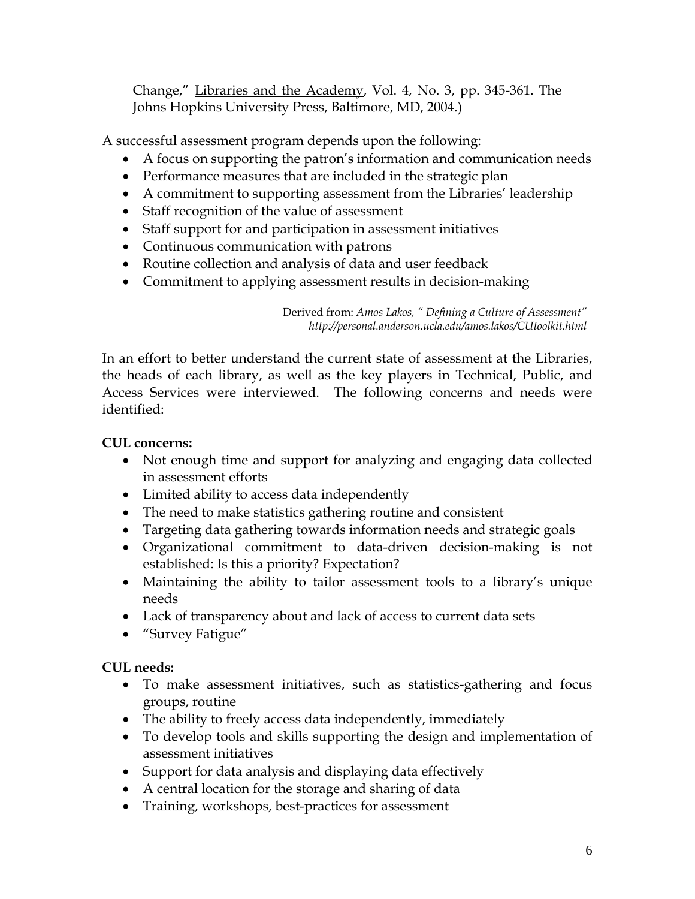Change," Libraries and the Academy, Vol. 4, No. 3, pp. 345-361. The Johns Hopkins University Press, Baltimore, MD, 2004.)

A successful assessment program depends upon the following:

- A focus on supporting the patron's information and communication needs
- Performance measures that are included in the strategic plan
- A commitment to supporting assessment from the Libraries' leadership
- Staff recognition of the value of assessment
- Staff support for and participation in assessment initiatives
- Continuous communication with patrons
- Routine collection and analysis of data and user feedback
- Commitment to applying assessment results in decision-making

Derived from: *Amos Lakos, " Defining a Culture of Assessment" http://personal.anderson.ucla.edu/amos.lakos/CUtoolkit.html* 

In an effort to better understand the current state of assessment at the Libraries, the heads of each library, as well as the key players in Technical, Public, and Access Services were interviewed. The following concerns and needs were identified:

#### **CUL concerns:**

- Not enough time and support for analyzing and engaging data collected in assessment efforts
- Limited ability to access data independently
- The need to make statistics gathering routine and consistent
- Targeting data gathering towards information needs and strategic goals
- Organizational commitment to data-driven decision-making is not established: Is this a priority? Expectation?
- Maintaining the ability to tailor assessment tools to a library's unique needs
- Lack of transparency about and lack of access to current data sets
- "Survey Fatigue"

#### **CUL needs:**

- To make assessment initiatives, such as statistics-gathering and focus groups, routine
- The ability to freely access data independently, immediately
- To develop tools and skills supporting the design and implementation of assessment initiatives
- Support for data analysis and displaying data effectively
- A central location for the storage and sharing of data
- Training, workshops, best-practices for assessment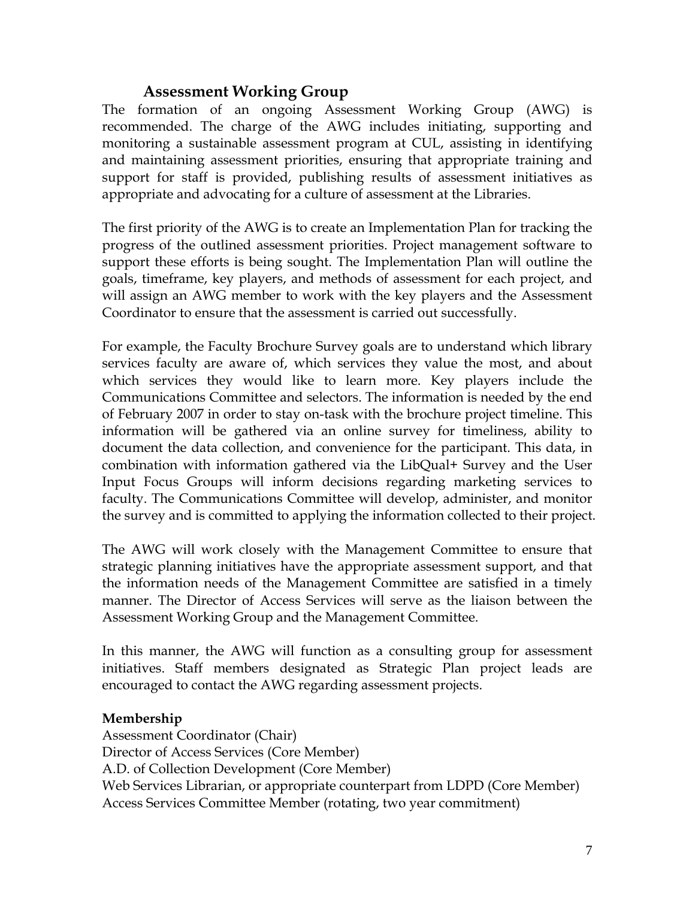## **Assessment Working Group**

The formation of an ongoing Assessment Working Group (AWG) is recommended. The charge of the AWG includes initiating, supporting and monitoring a sustainable assessment program at CUL, assisting in identifying and maintaining assessment priorities, ensuring that appropriate training and support for staff is provided, publishing results of assessment initiatives as appropriate and advocating for a culture of assessment at the Libraries.

The first priority of the AWG is to create an Implementation Plan for tracking the progress of the outlined assessment priorities. Project management software to support these efforts is being sought. The Implementation Plan will outline the goals, timeframe, key players, and methods of assessment for each project, and will assign an AWG member to work with the key players and the Assessment Coordinator to ensure that the assessment is carried out successfully.

For example, the Faculty Brochure Survey goals are to understand which library services faculty are aware of, which services they value the most, and about which services they would like to learn more. Key players include the Communications Committee and selectors. The information is needed by the end of February 2007 in order to stay on-task with the brochure project timeline. This information will be gathered via an online survey for timeliness, ability to document the data collection, and convenience for the participant. This data, in combination with information gathered via the LibQual+ Survey and the User Input Focus Groups will inform decisions regarding marketing services to faculty. The Communications Committee will develop, administer, and monitor the survey and is committed to applying the information collected to their project.

The AWG will work closely with the Management Committee to ensure that strategic planning initiatives have the appropriate assessment support, and that the information needs of the Management Committee are satisfied in a timely manner. The Director of Access Services will serve as the liaison between the Assessment Working Group and the Management Committee.

In this manner, the AWG will function as a consulting group for assessment initiatives. Staff members designated as Strategic Plan project leads are encouraged to contact the AWG regarding assessment projects.

#### **Membership**

Assessment Coordinator (Chair) Director of Access Services (Core Member) A.D. of Collection Development (Core Member) Web Services Librarian, or appropriate counterpart from LDPD (Core Member) Access Services Committee Member (rotating, two year commitment)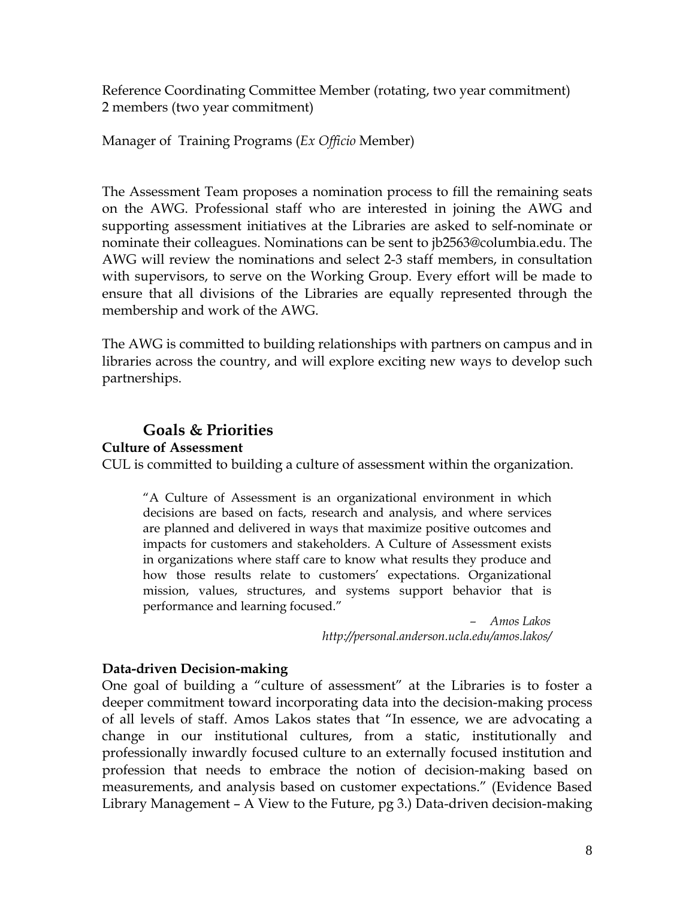Reference Coordinating Committee Member (rotating, two year commitment) 2 members (two year commitment)

#### Manager of Training Programs (*Ex Officio* Member)

The Assessment Team proposes a nomination process to fill the remaining seats on the AWG. Professional staff who are interested in joining the AWG and supporting assessment initiatives at the Libraries are asked to self-nominate or nominate their colleagues. Nominations can be sent to jb2563@columbia.edu. The AWG will review the nominations and select 2-3 staff members, in consultation with supervisors, to serve on the Working Group. Every effort will be made to ensure that all divisions of the Libraries are equally represented through the membership and work of the AWG.

The AWG is committed to building relationships with partners on campus and in libraries across the country, and will explore exciting new ways to develop such partnerships.

## **Goals & Priorities**

**Culture of Assessment** 

CUL is committed to building a culture of assessment within the organization.

"A Culture of Assessment is an organizational environment in which decisions are based on facts, research and analysis, and where services are planned and delivered in ways that maximize positive outcomes and impacts for customers and stakeholders. A Culture of Assessment exists in organizations where staff care to know what results they produce and how those results relate to customers' expectations. Organizational mission, values, structures, and systems support behavior that is performance and learning focused."

> *– Amos Lakos http://personal.anderson.ucla.edu/amos.lakos/*

#### **Data-driven Decision-making**

One goal of building a "culture of assessment" at the Libraries is to foster a deeper commitment toward incorporating data into the decision-making process of all levels of staff. Amos Lakos states that "In essence, we are advocating a change in our institutional cultures, from a static, institutionally and professionally inwardly focused culture to an externally focused institution and profession that needs to embrace the notion of decision-making based on measurements, and analysis based on customer expectations." (Evidence Based Library Management – A View to the Future, pg 3.) Data-driven decision-making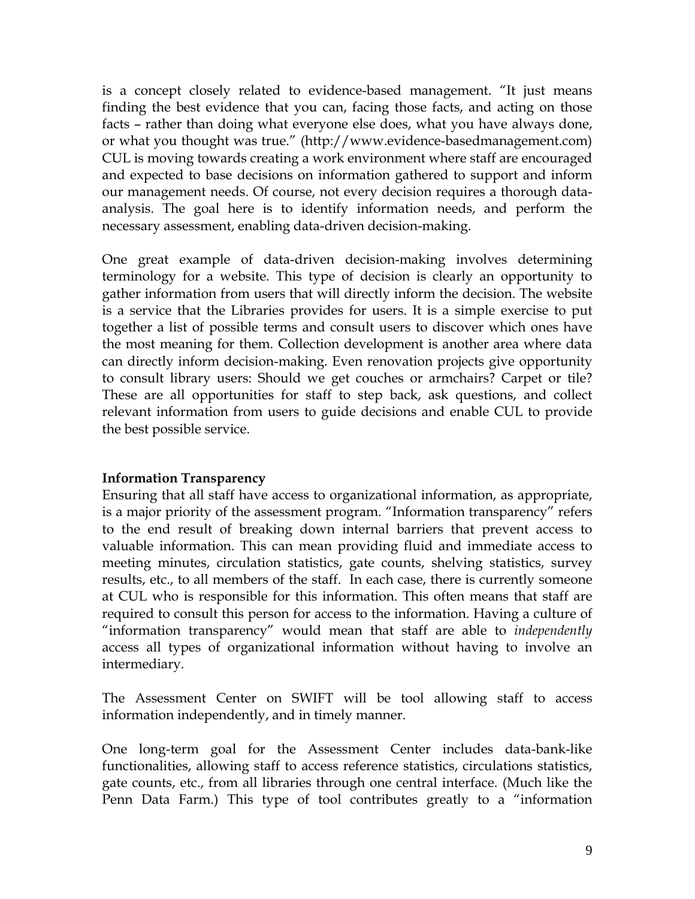is a concept closely related to evidence-based management. "It just means finding the best evidence that you can, facing those facts, and acting on those facts – rather than doing what everyone else does, what you have always done, or what you thought was true." (http://www.evidence-basedmanagement.com) CUL is moving towards creating a work environment where staff are encouraged and expected to base decisions on information gathered to support and inform our management needs. Of course, not every decision requires a thorough dataanalysis. The goal here is to identify information needs, and perform the necessary assessment, enabling data-driven decision-making.

One great example of data-driven decision-making involves determining terminology for a website. This type of decision is clearly an opportunity to gather information from users that will directly inform the decision. The website is a service that the Libraries provides for users. It is a simple exercise to put together a list of possible terms and consult users to discover which ones have the most meaning for them. Collection development is another area where data can directly inform decision-making. Even renovation projects give opportunity to consult library users: Should we get couches or armchairs? Carpet or tile? These are all opportunities for staff to step back, ask questions, and collect relevant information from users to guide decisions and enable CUL to provide the best possible service.

#### **Information Transparency**

Ensuring that all staff have access to organizational information, as appropriate, is a major priority of the assessment program. "Information transparency" refers to the end result of breaking down internal barriers that prevent access to valuable information. This can mean providing fluid and immediate access to meeting minutes, circulation statistics, gate counts, shelving statistics, survey results, etc., to all members of the staff. In each case, there is currently someone at CUL who is responsible for this information. This often means that staff are required to consult this person for access to the information. Having a culture of "information transparency" would mean that staff are able to *independently* access all types of organizational information without having to involve an intermediary.

The Assessment Center on SWIFT will be tool allowing staff to access information independently, and in timely manner.

One long-term goal for the Assessment Center includes data-bank-like functionalities, allowing staff to access reference statistics, circulations statistics, gate counts, etc., from all libraries through one central interface. (Much like the Penn Data Farm.) This type of tool contributes greatly to a "information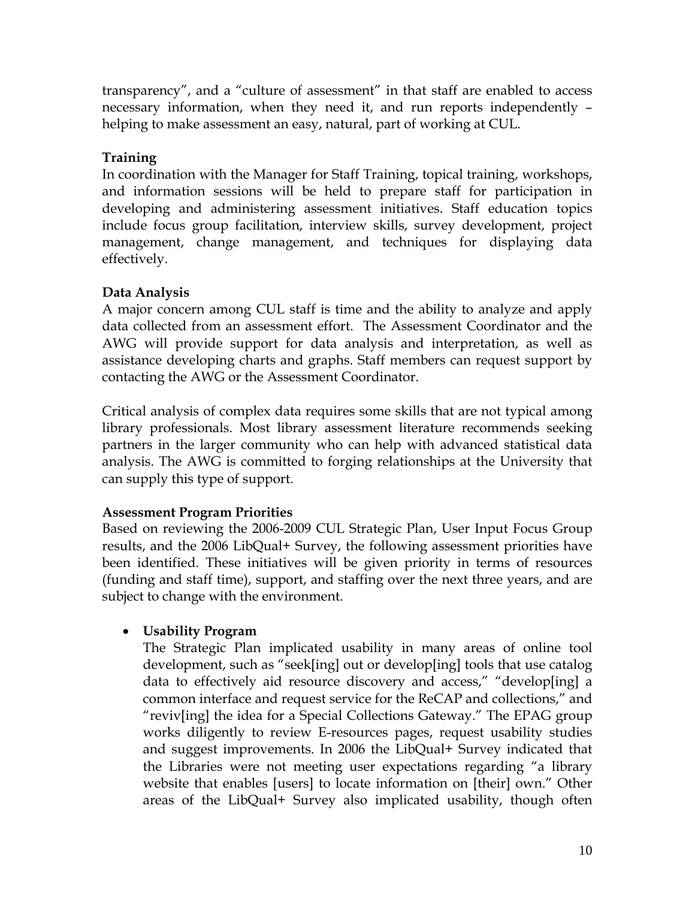transparency", and a "culture of assessment" in that staff are enabled to access necessary information, when they need it, and run reports independently – helping to make assessment an easy, natural, part of working at CUL.

#### **Training**

In coordination with the Manager for Staff Training, topical training, workshops, and information sessions will be held to prepare staff for participation in developing and administering assessment initiatives. Staff education topics include focus group facilitation, interview skills, survey development, project management, change management, and techniques for displaying data effectively.

### **Data Analysis**

A major concern among CUL staff is time and the ability to analyze and apply data collected from an assessment effort. The Assessment Coordinator and the AWG will provide support for data analysis and interpretation, as well as assistance developing charts and graphs. Staff members can request support by contacting the AWG or the Assessment Coordinator.

Critical analysis of complex data requires some skills that are not typical among library professionals. Most library assessment literature recommends seeking partners in the larger community who can help with advanced statistical data analysis. The AWG is committed to forging relationships at the University that can supply this type of support.

#### **Assessment Program Priorities**

Based on reviewing the 2006-2009 CUL Strategic Plan, User Input Focus Group results, and the 2006 LibQual+ Survey, the following assessment priorities have been identified. These initiatives will be given priority in terms of resources (funding and staff time), support, and staffing over the next three years, and are subject to change with the environment.

#### • **Usability Program**

The Strategic Plan implicated usability in many areas of online tool development, such as "seek[ing] out or develop[ing] tools that use catalog data to effectively aid resource discovery and access," "develop[ing] a common interface and request service for the ReCAP and collections," and "reviv[ing] the idea for a Special Collections Gateway." The EPAG group works diligently to review E-resources pages, request usability studies and suggest improvements. In 2006 the LibQual+ Survey indicated that the Libraries were not meeting user expectations regarding "a library website that enables [users] to locate information on [their] own." Other areas of the LibQual+ Survey also implicated usability, though often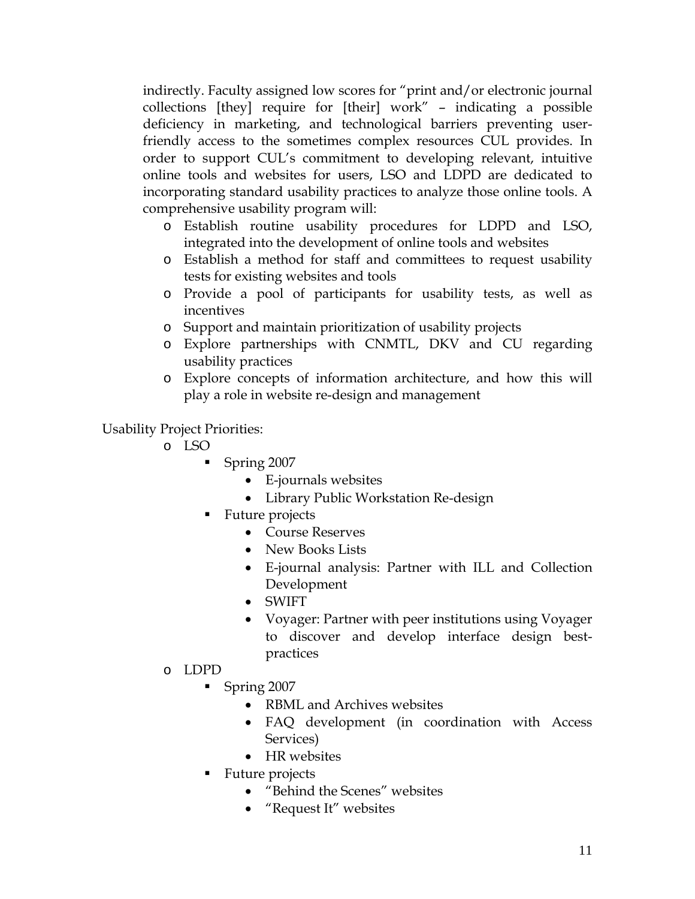indirectly. Faculty assigned low scores for "print and/or electronic journal collections [they] require for [their] work" – indicating a possible deficiency in marketing, and technological barriers preventing userfriendly access to the sometimes complex resources CUL provides. In order to support CUL's commitment to developing relevant, intuitive online tools and websites for users, LSO and LDPD are dedicated to incorporating standard usability practices to analyze those online tools. A comprehensive usability program will:

- o Establish routine usability procedures for LDPD and LSO, integrated into the development of online tools and websites
- o Establish a method for staff and committees to request usability tests for existing websites and tools
- o Provide a pool of participants for usability tests, as well as incentives
- o Support and maintain prioritization of usability projects
- o Explore partnerships with CNMTL, DKV and CU regarding usability practices
- o Explore concepts of information architecture, and how this will play a role in website re-design and management

Usability Project Priorities:

- o LSO
	- Spring 2007
		- E-journals websites
		- Library Public Workstation Re-design
	- Future projects
		- Course Reserves
		- New Books Lists
		- E-journal analysis: Partner with ILL and Collection Development
		- SWIFT
		- Voyager: Partner with peer institutions using Voyager to discover and develop interface design bestpractices
- o LDPD
	- Spring 2007
		- RBML and Archives websites
		- FAQ development (in coordination with Access Services)
		- HR websites
	- Future projects
		- "Behind the Scenes" websites
		- "Request It" websites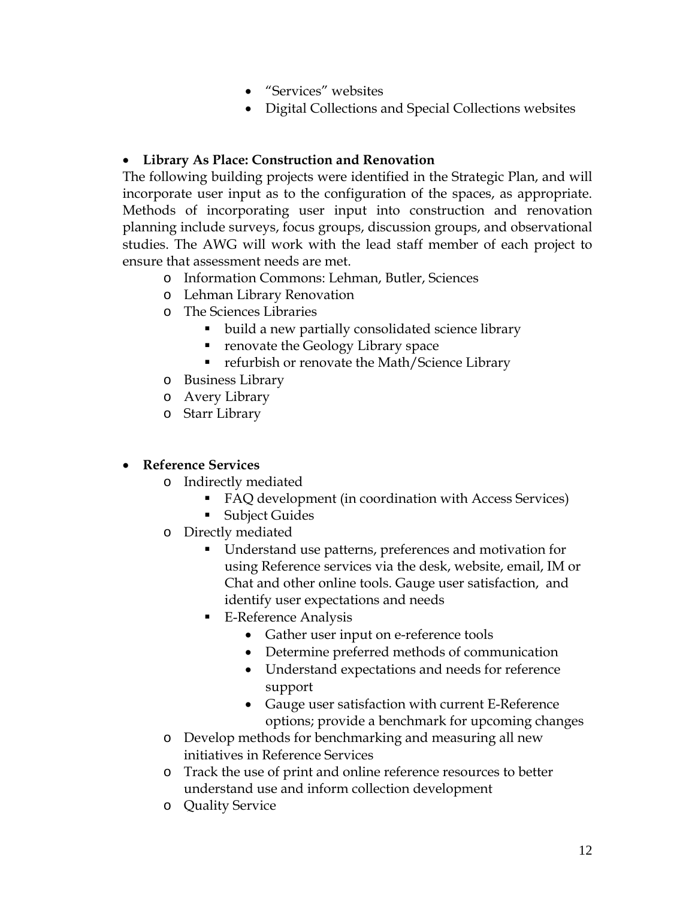- "Services" websites
- Digital Collections and Special Collections websites

#### • **Library As Place: Construction and Renovation**

The following building projects were identified in the Strategic Plan, and will incorporate user input as to the configuration of the spaces, as appropriate. Methods of incorporating user input into construction and renovation planning include surveys, focus groups, discussion groups, and observational studies. The AWG will work with the lead staff member of each project to ensure that assessment needs are met.

- o Information Commons: Lehman, Butler, Sciences
- o Lehman Library Renovation
- o The Sciences Libraries
	- build a new partially consolidated science library
	- **renovate the Geology Library space**
	- **F** refurbish or renovate the Math/Science Library
- o Business Library
- o Avery Library
- o Starr Library

#### • **Reference Services**

- o Indirectly mediated
	- FAQ development (in coordination with Access Services)
	- Subject Guides
- o Directly mediated
	- Understand use patterns, preferences and motivation for using Reference services via the desk, website, email, IM or Chat and other online tools. Gauge user satisfaction, and identify user expectations and needs
	- E-Reference Analysis
		- Gather user input on e-reference tools
		- Determine preferred methods of communication
		- Understand expectations and needs for reference support
		- Gauge user satisfaction with current E-Reference options; provide a benchmark for upcoming changes
- o Develop methods for benchmarking and measuring all new initiatives in Reference Services
- o Track the use of print and online reference resources to better understand use and inform collection development
- o Quality Service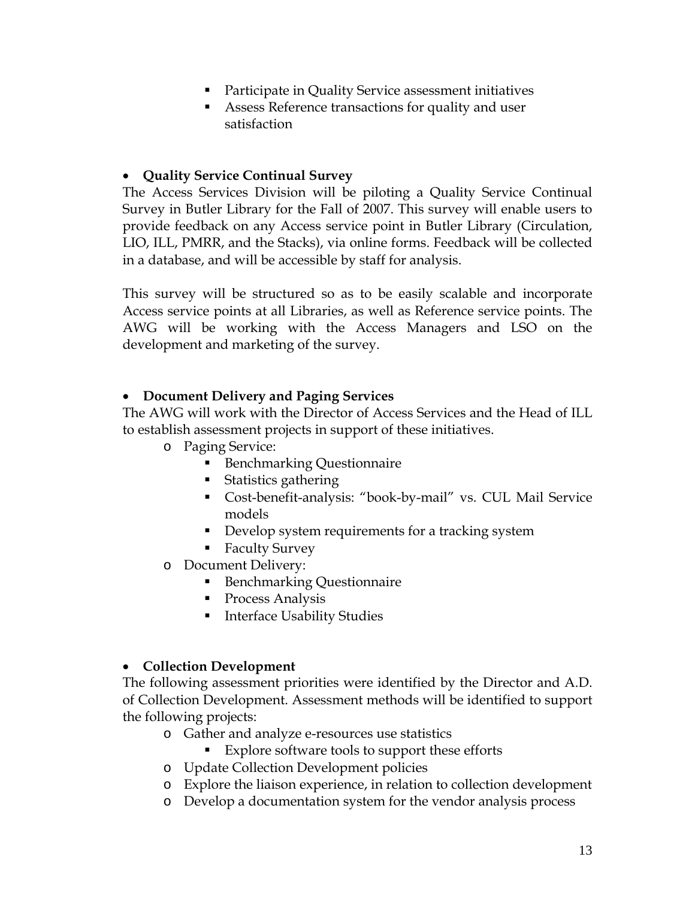- **Participate in Quality Service assessment initiatives**
- Assess Reference transactions for quality and user satisfaction

#### • **Quality Service Continual Survey**

The Access Services Division will be piloting a Quality Service Continual Survey in Butler Library for the Fall of 2007. This survey will enable users to provide feedback on any Access service point in Butler Library (Circulation, LIO, ILL, PMRR, and the Stacks), via online forms. Feedback will be collected in a database, and will be accessible by staff for analysis.

This survey will be structured so as to be easily scalable and incorporate Access service points at all Libraries, as well as Reference service points. The AWG will be working with the Access Managers and LSO on the development and marketing of the survey.

#### • **Document Delivery and Paging Services**

The AWG will work with the Director of Access Services and the Head of ILL to establish assessment projects in support of these initiatives.

- o Paging Service:
	- **Benchmarking Questionnaire**
	- Statistics gathering
	- Cost-benefit-analysis: "book-by-mail" vs. CUL Mail Service models
	- Develop system requirements for a tracking system
	- **Faculty Survey**
- o Document Delivery:
	- **Benchmarking Questionnaire**
	- **Process Analysis**
	- **Interface Usability Studies**

#### • **Collection Development**

The following assessment priorities were identified by the Director and A.D. of Collection Development. Assessment methods will be identified to support the following projects:

- o Gather and analyze e-resources use statistics
	- Explore software tools to support these efforts
- o Update Collection Development policies
- o Explore the liaison experience, in relation to collection development
- o Develop a documentation system for the vendor analysis process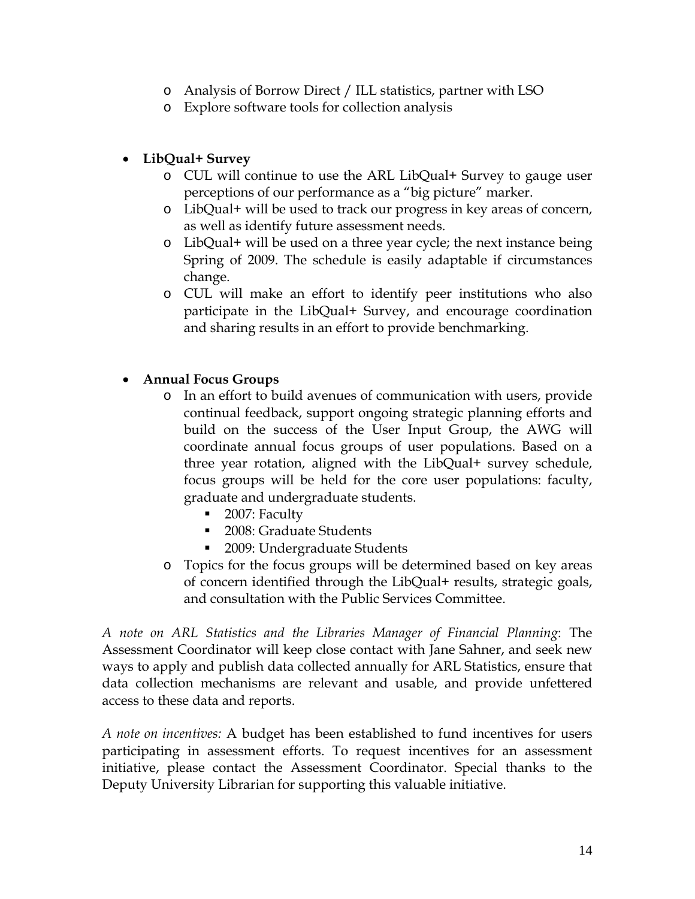- o Analysis of Borrow Direct / ILL statistics, partner with LSO
- o Explore software tools for collection analysis

#### • **LibQual+ Survey**

- o CUL will continue to use the ARL LibQual+ Survey to gauge user perceptions of our performance as a "big picture" marker.
- o LibQual+ will be used to track our progress in key areas of concern, as well as identify future assessment needs.
- o LibQual+ will be used on a three year cycle; the next instance being Spring of 2009. The schedule is easily adaptable if circumstances change.
- o CUL will make an effort to identify peer institutions who also participate in the LibQual+ Survey, and encourage coordination and sharing results in an effort to provide benchmarking.

#### • **Annual Focus Groups**

- o In an effort to build avenues of communication with users, provide continual feedback, support ongoing strategic planning efforts and build on the success of the User Input Group, the AWG will coordinate annual focus groups of user populations. Based on a three year rotation, aligned with the LibQual+ survey schedule, focus groups will be held for the core user populations: faculty, graduate and undergraduate students.
	- 2007: Faculty
	- 2008: Graduate Students
	- 2009: Undergraduate Students
- o Topics for the focus groups will be determined based on key areas of concern identified through the LibQual+ results, strategic goals, and consultation with the Public Services Committee.

*A note on ARL Statistics and the Libraries Manager of Financial Planning*: The Assessment Coordinator will keep close contact with Jane Sahner, and seek new ways to apply and publish data collected annually for ARL Statistics, ensure that data collection mechanisms are relevant and usable, and provide unfettered access to these data and reports.

*A note on incentives:* A budget has been established to fund incentives for users participating in assessment efforts. To request incentives for an assessment initiative, please contact the Assessment Coordinator. Special thanks to the Deputy University Librarian for supporting this valuable initiative.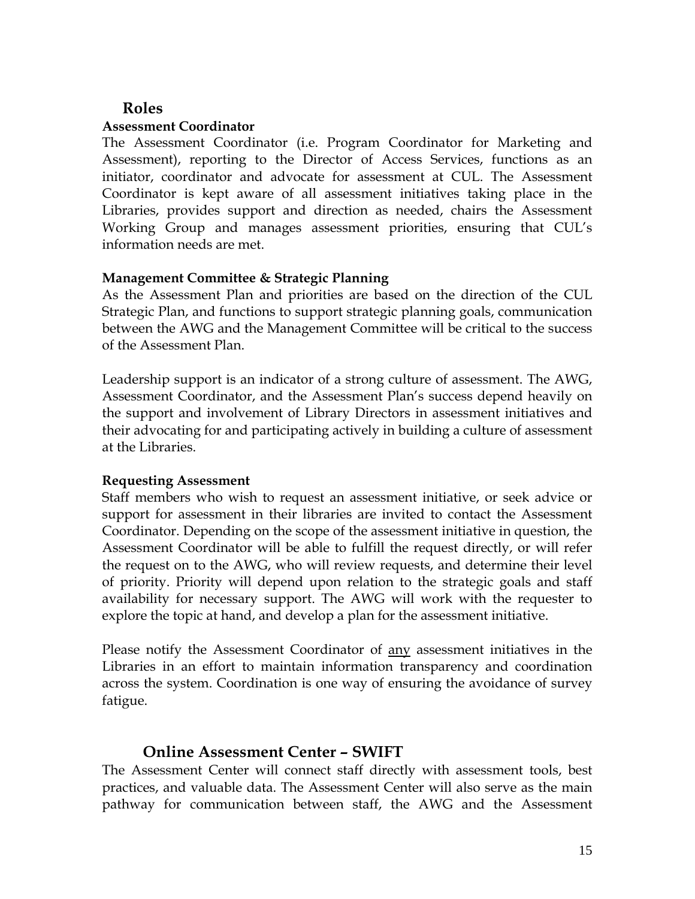## **Roles**

#### **Assessment Coordinator**

The Assessment Coordinator (i.e. Program Coordinator for Marketing and Assessment), reporting to the Director of Access Services, functions as an initiator, coordinator and advocate for assessment at CUL. The Assessment Coordinator is kept aware of all assessment initiatives taking place in the Libraries, provides support and direction as needed, chairs the Assessment Working Group and manages assessment priorities, ensuring that CUL's information needs are met.

#### **Management Committee & Strategic Planning**

As the Assessment Plan and priorities are based on the direction of the CUL Strategic Plan, and functions to support strategic planning goals, communication between the AWG and the Management Committee will be critical to the success of the Assessment Plan.

Leadership support is an indicator of a strong culture of assessment. The AWG, Assessment Coordinator, and the Assessment Plan's success depend heavily on the support and involvement of Library Directors in assessment initiatives and their advocating for and participating actively in building a culture of assessment at the Libraries.

#### **Requesting Assessment**

Staff members who wish to request an assessment initiative, or seek advice or support for assessment in their libraries are invited to contact the Assessment Coordinator. Depending on the scope of the assessment initiative in question, the Assessment Coordinator will be able to fulfill the request directly, or will refer the request on to the AWG, who will review requests, and determine their level of priority. Priority will depend upon relation to the strategic goals and staff availability for necessary support. The AWG will work with the requester to explore the topic at hand, and develop a plan for the assessment initiative.

Please notify the Assessment Coordinator of any assessment initiatives in the Libraries in an effort to maintain information transparency and coordination across the system. Coordination is one way of ensuring the avoidance of survey fatigue.

#### **Online Assessment Center – SWIFT**

The Assessment Center will connect staff directly with assessment tools, best practices, and valuable data. The Assessment Center will also serve as the main pathway for communication between staff, the AWG and the Assessment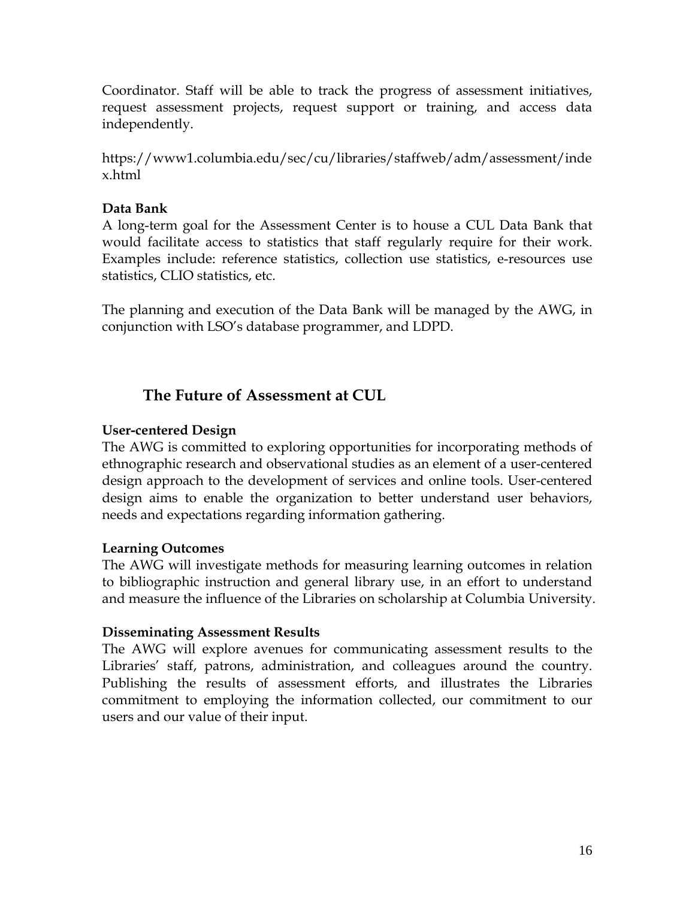Coordinator. Staff will be able to track the progress of assessment initiatives, request assessment projects, request support or training, and access data independently.

https://www1.columbia.edu/sec/cu/libraries/staffweb/adm/assessment/inde x.html

#### **Data Bank**

A long-term goal for the Assessment Center is to house a CUL Data Bank that would facilitate access to statistics that staff regularly require for their work. Examples include: reference statistics, collection use statistics, e-resources use statistics, CLIO statistics, etc.

The planning and execution of the Data Bank will be managed by the AWG, in conjunction with LSO's database programmer, and LDPD.

## **The Future of Assessment at CUL**

#### **User-centered Design**

The AWG is committed to exploring opportunities for incorporating methods of ethnographic research and observational studies as an element of a user-centered design approach to the development of services and online tools. User-centered design aims to enable the organization to better understand user behaviors, needs and expectations regarding information gathering.

#### **Learning Outcomes**

The AWG will investigate methods for measuring learning outcomes in relation to bibliographic instruction and general library use, in an effort to understand and measure the influence of the Libraries on scholarship at Columbia University.

#### **Disseminating Assessment Results**

The AWG will explore avenues for communicating assessment results to the Libraries' staff, patrons, administration, and colleagues around the country. Publishing the results of assessment efforts, and illustrates the Libraries commitment to employing the information collected, our commitment to our users and our value of their input.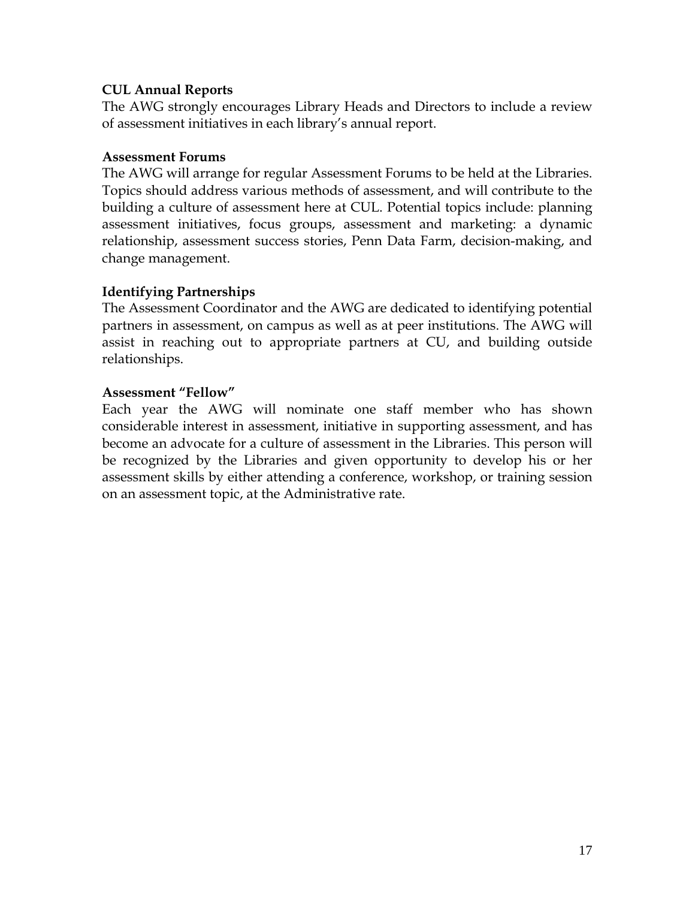#### **CUL Annual Reports**

The AWG strongly encourages Library Heads and Directors to include a review of assessment initiatives in each library's annual report.

#### **Assessment Forums**

The AWG will arrange for regular Assessment Forums to be held at the Libraries. Topics should address various methods of assessment, and will contribute to the building a culture of assessment here at CUL. Potential topics include: planning assessment initiatives, focus groups, assessment and marketing: a dynamic relationship, assessment success stories, Penn Data Farm, decision-making, and change management.

#### **Identifying Partnerships**

The Assessment Coordinator and the AWG are dedicated to identifying potential partners in assessment, on campus as well as at peer institutions. The AWG will assist in reaching out to appropriate partners at CU, and building outside relationships.

#### **Assessment "Fellow"**

Each year the AWG will nominate one staff member who has shown considerable interest in assessment, initiative in supporting assessment, and has become an advocate for a culture of assessment in the Libraries. This person will be recognized by the Libraries and given opportunity to develop his or her assessment skills by either attending a conference, workshop, or training session on an assessment topic, at the Administrative rate.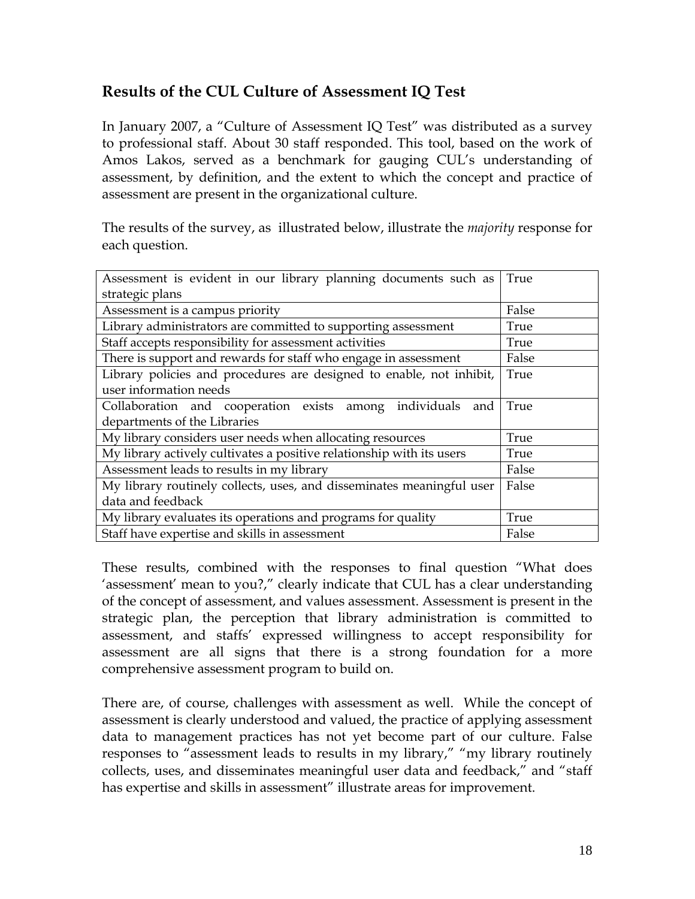## **Results of the CUL Culture of Assessment IQ Test**

In January 2007, a "Culture of Assessment IQ Test" was distributed as a survey to professional staff. About 30 staff responded. This tool, based on the work of Amos Lakos, served as a benchmark for gauging CUL's understanding of assessment, by definition, and the extent to which the concept and practice of assessment are present in the organizational culture.

The results of the survey, as illustrated below, illustrate the *majority* response for each question.

| Assessment is evident in our library planning documents such as       | True  |
|-----------------------------------------------------------------------|-------|
| strategic plans                                                       |       |
| Assessment is a campus priority                                       | False |
| Library administrators are committed to supporting assessment         | True  |
| Staff accepts responsibility for assessment activities                | True  |
| There is support and rewards for staff who engage in assessment       | False |
| Library policies and procedures are designed to enable, not inhibit,  | True  |
| user information needs                                                |       |
| Collaboration and cooperation exists among individuals and            | True  |
| departments of the Libraries                                          |       |
| My library considers user needs when allocating resources             | True  |
| My library actively cultivates a positive relationship with its users | True  |
| Assessment leads to results in my library                             | False |
| My library routinely collects, uses, and disseminates meaningful user | False |
| data and feedback                                                     |       |
| My library evaluates its operations and programs for quality          | True  |
| Staff have expertise and skills in assessment                         | False |

These results, combined with the responses to final question "What does 'assessment' mean to you?," clearly indicate that CUL has a clear understanding of the concept of assessment, and values assessment. Assessment is present in the strategic plan, the perception that library administration is committed to assessment, and staffs' expressed willingness to accept responsibility for assessment are all signs that there is a strong foundation for a more comprehensive assessment program to build on.

There are, of course, challenges with assessment as well. While the concept of assessment is clearly understood and valued, the practice of applying assessment data to management practices has not yet become part of our culture. False responses to "assessment leads to results in my library," "my library routinely collects, uses, and disseminates meaningful user data and feedback," and "staff has expertise and skills in assessment" illustrate areas for improvement.